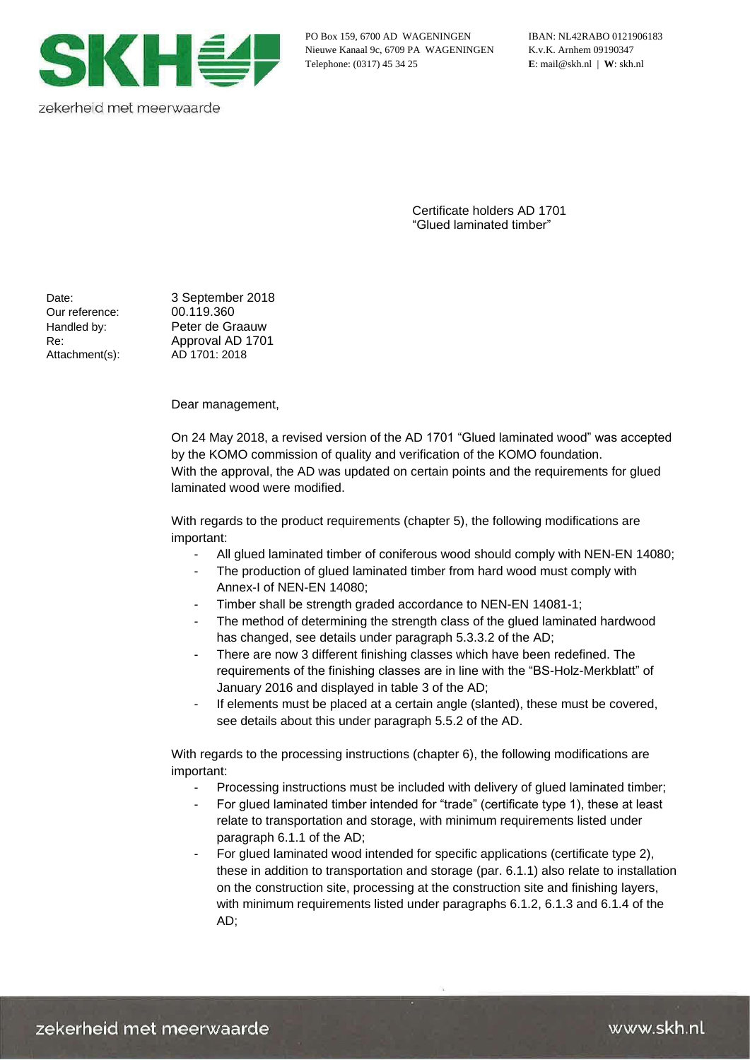

zekerheid met meerwaarde

PO Box 159, 6700 AD WAGENINGEN IBAN: NL42RABO 0121906183 Nieuwe Kanaal 9c, 6709 PA WAGENINGEN K.v.K. Arnhem 09190347 Telephone: (0317) 45 34 25 **E**: mail@skh.nl | **W**: skh.nl

Certificate holders AD 1701 "Glued laminated timber"

Our reference: 00.119.360 Attachment(s):

Date: 3 September 2018 Handled by: Peter de Graauw Re: Approval AD 1701<br>Attachment(s): AD 1701: 2018

Dear management,

On 24 May 2018, a revised version of the AD 1701 "Glued laminated wood" was accepted by the KOMO commission of quality and verification of the KOMO foundation. With the approval, the AD was updated on certain points and the requirements for glued laminated wood were modified.

With regards to the product requirements (chapter 5), the following modifications are important:

- All glued laminated timber of coniferous wood should comply with NEN-EN 14080;
- The production of glued laminated timber from hard wood must comply with Annex-I of NEN-EN 14080;
- Timber shall be strength graded accordance to NEN-EN 14081-1;
- The method of determining the strength class of the glued laminated hardwood has changed, see details under paragraph 5.3.3.2 of the AD;
- There are now 3 different finishing classes which have been redefined. The requirements of the finishing classes are in line with the "BS-Holz-Merkblatt" of January 2016 and displayed in table 3 of the AD;
- If elements must be placed at a certain angle (slanted), these must be covered, see details about this under paragraph 5.5.2 of the AD.

With regards to the processing instructions (chapter 6), the following modifications are important:

- Processing instructions must be included with delivery of glued laminated timber;
- For glued laminated timber intended for "trade" (certificate type 1), these at least relate to transportation and storage, with minimum requirements listed under paragraph 6.1.1 of the AD;
- For glued laminated wood intended for specific applications (certificate type 2), these in addition to transportation and storage (par. 6.1.1) also relate to installation on the construction site, processing at the construction site and finishing layers, with minimum requirements listed under paragraphs 6.1.2, 6.1.3 and 6.1.4 of the AD;